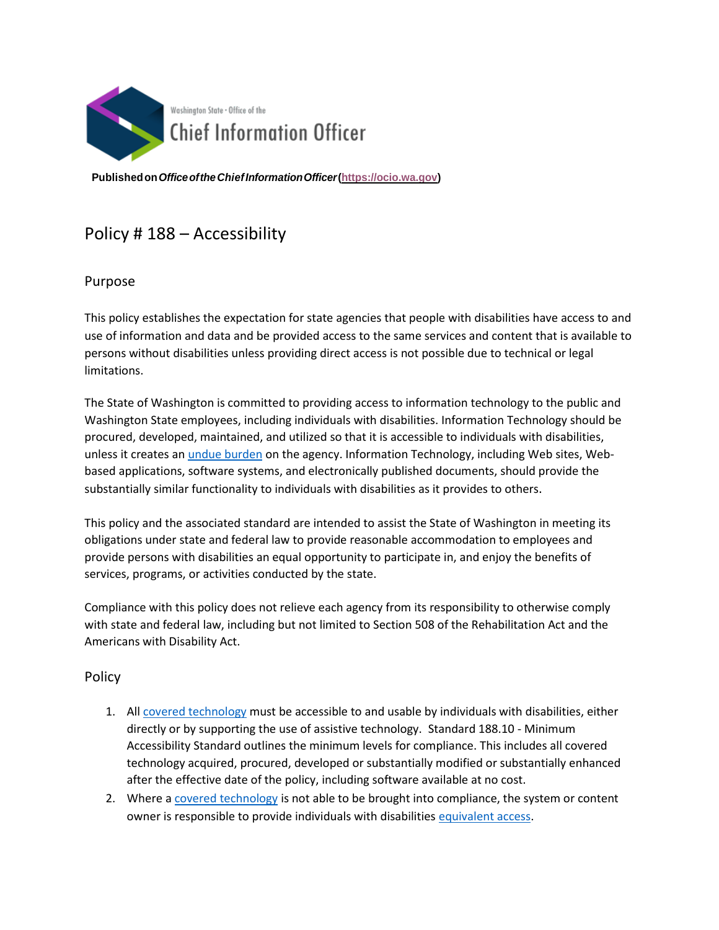

**Publishedon***OfficeoftheChiefInformationOfficer***[\(https://ocio.wa.gov\)](https://ocio.wa.gov/)**

# Policy # 188 – Accessibility

## Purpose

This policy establishes the expectation for state agencies that people with disabilities have access to and use of information and data and be provided access to the same services and content that is available to persons without disabilities unless providing direct access is not possible due to technical or legal limitations.

The State of Washington is committed to providing access to information technology to the public and Washington State employees, including individuals with disabilities. Information Technology should be procured, developed, maintained, and utilized so that it is accessible to individuals with disabilities, unless it creates an [undue burden](https://ocio.wa.gov/definition-terms-used-ocio-policies-and-reports#undue_burden) on the agency. Information Technology, including Web sites, Webbased applications, software systems, and electronically published documents, should provide the substantially similar functionality to individuals with disabilities as it provides to others.

This policy and the associated standard are intended to assist the State of Washington in meeting its obligations under state and federal law to provide reasonable accommodation to employees and provide persons with disabilities an equal opportunity to participate in, and enjoy the benefits of services, programs, or activities conducted by the state.

Compliance with this policy does not relieve each agency from its responsibility to otherwise comply with state and federal law, including but not limited to Section 508 of the Rehabilitation Act and the Americans with Disability Act.

### Policy

- 1. All [covered technology](http://ocio.wa.gov/policies/definition-terms-used-ocio-policies-and-reports#covTech) must be accessible to and usable by individuals with disabilities, either directly or by supporting the use of assistive technology. Standard 188.10 - Minimum Accessibility Standard outlines the minimum levels for compliance. This includes all covered technology acquired, procured, developed or substantially modified or substantially enhanced after the effective date of the policy, including software available at no cost.
- 2. Where [a covered technology](http://ocio.wa.gov/policies/definition-terms-used-ocio-policies-and-reports#CovTech) is not able to be brought into compliance, the system or content owner is responsible to provide individuals with disabilitie[s equivalent access.](http://ocio.wa.gov/policies/definition-terms-used-ocio-policies-and-reports#Equiv_Access)